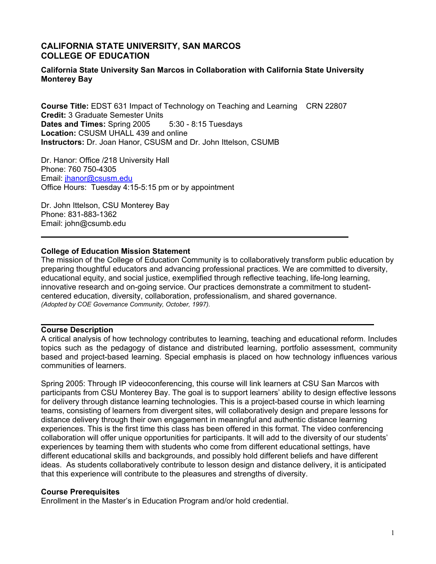### **CALIFORNIA STATE UNIVERSITY, SAN MARCOS COLLEGE OF EDUCATION**

#### **California State University San Marcos in Collaboration with California State University Monterey Bay**

**Course Title:** EDST 631 Impact of Technology on Teaching and Learning CRN 22807 **Credit:** 3 Graduate Semester Units **Dates and Times:** Spring 2005 5:30 - 8:15 Tuesdays **Location:** CSUSM UHALL 439 and online **Instructors:** Dr. Joan Hanor, CSUSM and Dr. John Ittelson, CSUMB

Dr. Hanor: Office /218 University Hall Phone: 760 750-4305 Email: jhanor@csusm.edu Office Hours: Tuesday 4:15-5:15 pm or by appointment

Dr. John Ittelson, CSU Monterey Bay Phone: 831-883-1362 Email: john@csumb.edu

#### **College of Education Mission Statement**

The mission of the College of Education Community is to collaboratively transform public education by preparing thoughtful educators and advancing professional practices. We are committed to diversity, educational equity, and social justice, exemplified through reflective teaching, life-long learning, innovative research and on-going service. Our practices demonstrate a commitment to studentcentered education, diversity, collaboration, professionalism, and shared governance. *(Adopted by COE Governance Community, October, 1997).* 

#### **Course Description**

A critical analysis of how technology contributes to learning, teaching and educational reform. Includes topics such as the pedagogy of distance and distributed learning, portfolio assessment, community based and project-based learning. Special emphasis is placed on how technology influences various communities of learners.

Spring 2005: Through IP videoconferencing, this course will link learners at CSU San Marcos with participants from CSU Monterey Bay. The goal is to support learners' ability to design effective lessons for delivery through distance learning technologies. This is a project-based course in which learning teams, consisting of learners from divergent sites, will collaboratively design and prepare lessons for distance delivery through their own engagement in meaningful and authentic distance learning experiences. This is the first time this class has been offered in this format. The video conferencing collaboration will offer unique opportunities for participants. It will add to the diversity of our students' experiences by teaming them with students who come from different educational settings, have different educational skills and backgrounds, and possibly hold different beliefs and have different ideas. As students collaboratively contribute to lesson design and distance delivery, it is anticipated that this experience will contribute to the pleasures and strengths of diversity.

#### **Course Prerequisites**

Enrollment in the Master's in Education Program and/or hold credential.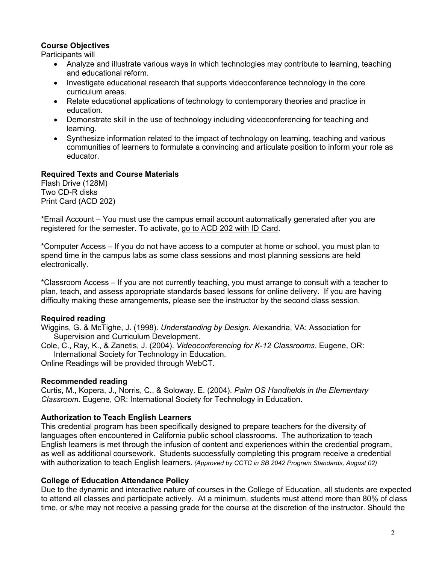### **Course Objectives**

Participants will

- Analyze and illustrate various ways in which technologies may contribute to learning, teaching and educational reform.
- Investigate educational research that supports videoconference technology in the core curriculum areas.
- Relate educational applications of technology to contemporary theories and practice in education.
- Demonstrate skill in the use of technology including videoconferencing for teaching and learning.
- Synthesize information related to the impact of technology on learning, teaching and various communities of learners to formulate a convincing and articulate position to inform your role as educator.

## **Required Texts and Course Materials**

Flash Drive (128M) Two CD-R disks Print Card (ACD 202)

\*Email Account – You must use the campus email account automatically generated after you are registered for the semester. To activate, go to ACD 202 with ID Card.

\*Computer Access – If you do not have access to a computer at home or school, you must plan to spend time in the campus labs as some class sessions and most planning sessions are held electronically.

\*Classroom Access – If you are not currently teaching, you must arrange to consult with a teacher to plan, teach, and assess appropriate standards based lessons for online delivery. If you are having difficulty making these arrangements, please see the instructor by the second class session.

## **Required reading**

Wiggins, G. & McTighe, J. (1998). *Understanding by Design*. Alexandria, VA: Association for Supervision and Curriculum Development.

Cole, C., Ray, K., & Zanetis, J. (2004). *Videoconferencing for K-12 Classrooms*. Eugene, OR: International Society for Technology in Education.

Online Readings will be provided through WebCT.

#### **Recommended reading**

Curtis, M., Kopera, J., Norris, C., & Soloway. E. (2004). *Palm OS Handhelds in the Elementary Classroom.* Eugene, OR: International Society for Technology in Education.

## **Authorization to Teach English Learners**

This credential program has been specifically designed to prepare teachers for the diversity of languages often encountered in California public school classrooms. The authorization to teach English learners is met through the infusion of content and experiences within the credential program, as well as additional coursework. Students successfully completing this program receive a credential with authorization to teach English learners. *(Approved by CCTC in SB 2042 Program Standards, August 02)*

#### **College of Education Attendance Policy**

Due to the dynamic and interactive nature of courses in the College of Education, all students are expected to attend all classes and participate actively. At a minimum, students must attend more than 80% of class time, or s/he may not receive a passing grade for the course at the discretion of the instructor. Should the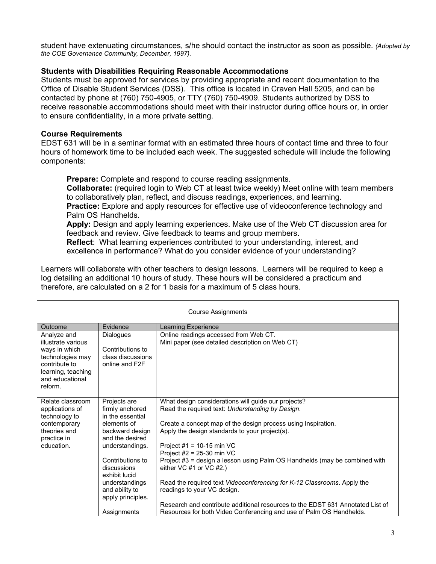student have extenuating circumstances, s/he should contact the instructor as soon as possible. *(Adopted by the COE Governance Community, December, 1997).*

#### **Students with Disabilities Requiring Reasonable Accommodations**

Students must be approved for services by providing appropriate and recent documentation to the Office of Disable Student Services (DSS). This office is located in Craven Hall 5205, and can be contacted by phone at (760) 750-4905, or TTY (760) 750-4909. Students authorized by DSS to receive reasonable accommodations should meet with their instructor during office hours or, in order to ensure confidentiality, in a more private setting.

#### **Course Requirements**

EDST 631 will be in a seminar format with an estimated three hours of contact time and three to four hours of homework time to be included each week. The suggested schedule will include the following components:

**Prepare:** Complete and respond to course reading assignments.

**Collaborate:** (required login to Web CT at least twice weekly) Meet online with team members to collaboratively plan, reflect, and discuss readings, experiences, and learning. **Practice:** Explore and apply resources for effective use of videoconference technology and

Palm OS Handhelds.

**Apply:** Design and apply learning experiences. Make use of the Web CT discussion area for feedback and review. Give feedback to teams and group members.

**Reflect**: What learning experiences contributed to your understanding, interest, and excellence in performance? What do you consider evidence of your understanding?

Learners will collaborate with other teachers to design lessons. Learners will be required to keep a log detailing an additional 10 hours of study. These hours will be considered a practicum and therefore, are calculated on a 2 for 1 basis for a maximum of 5 class hours.

| <b>Course Assignments</b>                                                                                                                   |                                                                             |                                                                                                                                                       |  |
|---------------------------------------------------------------------------------------------------------------------------------------------|-----------------------------------------------------------------------------|-------------------------------------------------------------------------------------------------------------------------------------------------------|--|
| Outcome<br>Evidence<br>Learning Experience                                                                                                  |                                                                             |                                                                                                                                                       |  |
| Analyze and<br>illustrate various<br>ways in which<br>technologies may<br>contribute to<br>learning, teaching<br>and educational<br>reform. | <b>Dialogues</b><br>Contributions to<br>class discussions<br>online and F2F | Online readings accessed from Web CT.<br>Mini paper (see detailed description on Web CT)                                                              |  |
| Relate classroom<br>applications of<br>technology to                                                                                        | Projects are<br>firmly anchored<br>in the essential                         | What design considerations will guide our projects?<br>Read the required text: Understanding by Design.                                               |  |
| contemporary<br>elements of<br>theories and<br>backward design<br>and the desired<br>practice in                                            |                                                                             | Create a concept map of the design process using Inspiration.<br>Apply the design standards to your project(s).                                       |  |
| education.                                                                                                                                  | understandings.                                                             | Project $#1 = 10-15$ min VC<br>Project $#2 = 25-30$ min VC                                                                                            |  |
|                                                                                                                                             | Contributions to<br>discussions<br>exhibit lucid                            | Project #3 = design a lesson using Palm OS Handhelds (may be combined with<br>either VC #1 or VC #2.)                                                 |  |
|                                                                                                                                             | understandings<br>and ability to<br>apply principles.                       | Read the required text Videoconferencing for K-12 Classrooms. Apply the<br>readings to your VC design.                                                |  |
|                                                                                                                                             | Assignments                                                                 | Research and contribute additional resources to the EDST 631 Annotated List of<br>Resources for both Video Conferencing and use of Palm OS Handhelds. |  |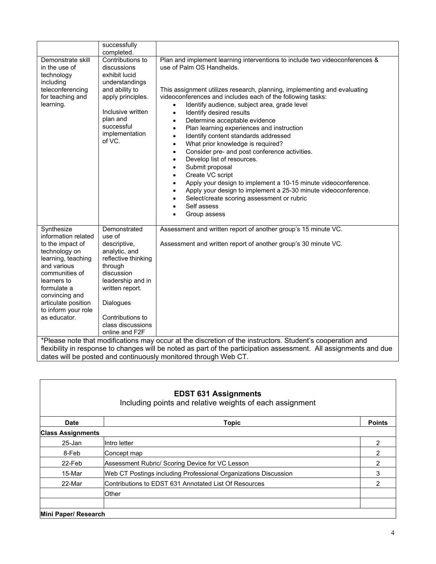|                                                                                                                                                                                                                                             | successfully                                                                                                                                                                                                            |                                                                                                                                                                                                                                                                                                                                                                                                                                                                                                                                                                                                                                                                                                                                                                                                                                                                                                                                                                                                                        |
|---------------------------------------------------------------------------------------------------------------------------------------------------------------------------------------------------------------------------------------------|-------------------------------------------------------------------------------------------------------------------------------------------------------------------------------------------------------------------------|------------------------------------------------------------------------------------------------------------------------------------------------------------------------------------------------------------------------------------------------------------------------------------------------------------------------------------------------------------------------------------------------------------------------------------------------------------------------------------------------------------------------------------------------------------------------------------------------------------------------------------------------------------------------------------------------------------------------------------------------------------------------------------------------------------------------------------------------------------------------------------------------------------------------------------------------------------------------------------------------------------------------|
| Demonstrate skill<br>in the use of<br>technology<br>including<br>teleconferencing<br>for teaching and<br>learning.                                                                                                                          | completed.<br>Contributions to<br>discussions<br>exhibit lucid<br>understandings<br>and ability to<br>apply principles.<br>Inclusive written<br>plan and<br>successful<br>implementation<br>of VC.                      | Plan and implement learning interventions to include two videoconferences &<br>use of Palm OS Handhelds.<br>This assignment utilizes research, planning, implementing and evaluating<br>videoconferences and includes each of the following tasks:<br>Identify audience, subject area, grade level<br>$\bullet$<br>Identify desired results<br>$\bullet$<br>Determine acceptable evidence<br>$\bullet$<br>Plan learning experiences and instruction<br>$\bullet$<br>Identify content standards addressed<br>$\bullet$<br>What prior knowledge is required?<br>$\bullet$<br>Consider pre- and post conference activities.<br>$\bullet$<br>Develop list of resources.<br>$\bullet$<br>Submit proposal<br>$\bullet$<br>Create VC script<br>$\bullet$<br>Apply your design to implement a 10-15 minute videoconference.<br>$\bullet$<br>Apply your design to implement a 25-30 minute videoconference.<br>$\bullet$<br>Select/create scoring assessment or rubric<br>Self assess<br>$\bullet$<br>Group assess<br>$\bullet$ |
| Synthesize<br>information related<br>to the impact of<br>technology on<br>learning, teaching<br>and various<br>communities of<br>learners to<br>formulate a<br>convincing and<br>articulate position<br>to inform your role<br>as educator. | Demonstrated<br>use of<br>descriptive,<br>analytic, and<br>reflective thinking<br>through<br>discussion<br>leadership and in<br>written report.<br>Dialogues<br>Contributions to<br>class discussions<br>online and F2F | Assessment and written report of another group's 15 minute VC.<br>Assessment and written report of another group's 30 minute VC.<br>*Please note that modifications may occur at the discretion of the instructors. Student's cooperation and                                                                                                                                                                                                                                                                                                                                                                                                                                                                                                                                                                                                                                                                                                                                                                          |
|                                                                                                                                                                                                                                             |                                                                                                                                                                                                                         | flexibility in response to changes will be noted as part of the participation assessment. All assignments and due                                                                                                                                                                                                                                                                                                                                                                                                                                                                                                                                                                                                                                                                                                                                                                                                                                                                                                      |

| <b>EDST 631 Assignments</b><br>Including points and relative weights of each assignment |                                                                 |               |  |
|-----------------------------------------------------------------------------------------|-----------------------------------------------------------------|---------------|--|
| <b>Date</b>                                                                             | <b>Topic</b>                                                    | <b>Points</b> |  |
| <b>Class Assignments</b>                                                                |                                                                 |               |  |
| 25-Jan                                                                                  | IIntro letter                                                   | 2             |  |
| 8-Feb                                                                                   | Concept map                                                     | 2             |  |
| 22-Feb                                                                                  | Assessment Rubric/ Scoring Device for VC Lesson                 | 2             |  |
| 15-Mar                                                                                  | Web CT Postings including Professional Organizations Discussion | 3             |  |
| 22-Mar                                                                                  | Contributions to EDST 631 Annotated List Of Resources           | 2             |  |
|                                                                                         | Other                                                           |               |  |
|                                                                                         |                                                                 |               |  |
| Mini Paper/ Research                                                                    |                                                                 |               |  |

dates will be posted and continuously monitored through Web CT.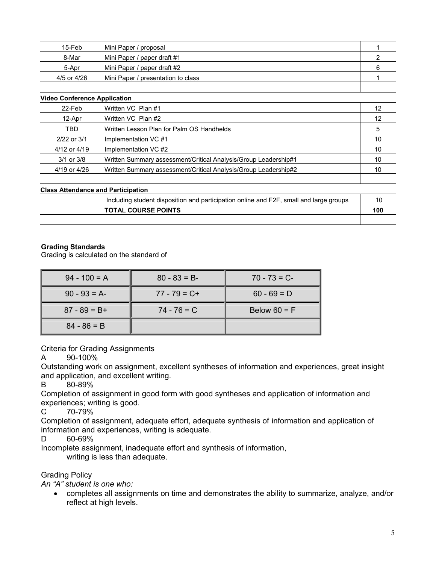| 15-Feb                                    | Mini Paper / proposal                                                                  |                 |
|-------------------------------------------|----------------------------------------------------------------------------------------|-----------------|
| 8-Mar                                     | Mini Paper / paper draft #1                                                            | 2               |
| 5-Apr                                     | Mini Paper / paper draft #2                                                            | 6               |
| 4/5 or 4/26                               | Mini Paper / presentation to class                                                     |                 |
|                                           |                                                                                        |                 |
| <b>Video Conference Application</b>       |                                                                                        |                 |
| 22-Feb                                    | Written VC Plan #1                                                                     | 12              |
| 12-Apr                                    | Written VC Plan #2                                                                     | 12              |
| <b>TBD</b>                                | Written Lesson Plan for Palm OS Handhelds                                              | 5               |
| 2/22 or 3/1                               | Implementation VC #1                                                                   | 10              |
| 4/12 or 4/19                              | Implementation VC #2                                                                   | 10              |
| $3/1$ or $3/8$                            | Written Summary assessment/Critical Analysis/Group Leadership#1                        | 10              |
| 4/19 or 4/26                              | Written Summary assessment/Critical Analysis/Group Leadership#2                        | 10 <sup>1</sup> |
|                                           |                                                                                        |                 |
| <b>Class Attendance and Participation</b> |                                                                                        |                 |
|                                           | Including student disposition and participation online and F2F, small and large groups | 10              |
|                                           | <b>TOTAL COURSE POINTS</b>                                                             | 100             |
|                                           |                                                                                        |                 |

### **Grading Standards**

Grading is calculated on the standard of

| $94 - 100 = A$  | $80 - 83 = B$   | $70 - 73 = C$  |
|-----------------|-----------------|----------------|
| $90 - 93 = A$   | $77 - 79 = C +$ | $60 - 69 = D$  |
| $87 - 89 = B +$ | $74 - 76 = C$   | Below $60 = F$ |
| $84 - 86 = B$   |                 |                |

Criteria for Grading Assignments

A 90-100%

Outstanding work on assignment, excellent syntheses of information and experiences, great insight and application, and excellent writing.

B 80-89%

Completion of assignment in good form with good syntheses and application of information and experiences; writing is good.

C 70-79%

Completion of assignment, adequate effort, adequate synthesis of information and application of information and experiences, writing is adequate.

D 60-69%

Incomplete assignment, inadequate effort and synthesis of information,

writing is less than adequate.

## Grading Policy

*An "A" student is one who:* 

• completes all assignments on time and demonstrates the ability to summarize, analyze, and/or reflect at high levels.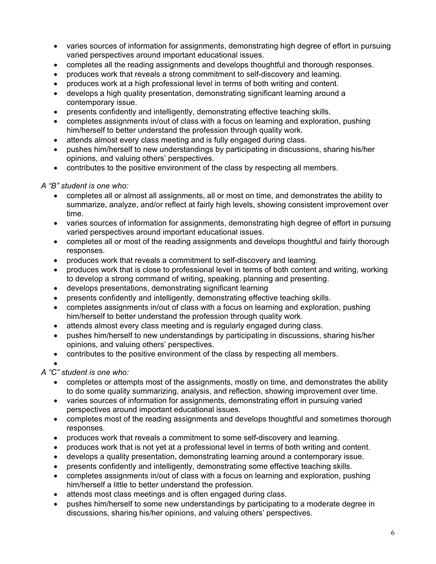- varies sources of information for assignments, demonstrating high degree of effort in pursuing varied perspectives around important educational issues.
- completes all the reading assignments and develops thoughtful and thorough responses.
- produces work that reveals a strong commitment to self-discovery and learning.
- produces work at a high professional level in terms of both writing and content.
- develops a high quality presentation, demonstrating significant learning around a contemporary issue.
- presents confidently and intelligently, demonstrating effective teaching skills.
- completes assignments in/out of class with a focus on learning and exploration, pushing him/herself to better understand the profession through quality work.
- attends almost every class meeting and is fully engaged during class.
- pushes him/herself to new understandings by participating in discussions, sharing his/her opinions, and valuing others' perspectives.
- contributes to the positive environment of the class by respecting all members.

# *A "B" student is one who:*

- completes all or almost all assignments, all or most on time, and demonstrates the ability to summarize, analyze, and/or reflect at fairly high levels, showing consistent improvement over time.
- varies sources of information for assignments, demonstrating high degree of effort in pursuing varied perspectives around important educational issues.
- completes all or most of the reading assignments and develops thoughtful and fairly thorough responses.
- produces work that reveals a commitment to self-discovery and learning.
- produces work that is close to professional level in terms of both content and writing, working to develop a strong command of writing, speaking, planning and presenting.
- develops presentations, demonstrating significant learning
- presents confidently and intelligently, demonstrating effective teaching skills.
- completes assignments in/out of class with a focus on learning and exploration, pushing him/herself to better understand the profession through quality work.
- attends almost every class meeting and is regularly engaged during class.
- pushes him/herself to new understandings by participating in discussions, sharing his/her opinions, and valuing others' perspectives.
- contributes to the positive environment of the class by respecting all members.

•

# *A "C" student is one who:*

- completes or attempts most of the assignments, mostly on time, and demonstrates the ability to do some quality summarizing, analysis, and reflection, showing improvement over time.
- varies sources of information for assignments, demonstrating effort in pursuing varied perspectives around important educational issues.
- completes most of the reading assignments and develops thoughtful and sometimes thorough responses.
- produces work that reveals a commitment to some self-discovery and learning.
- produces work that is not yet at a professional level in terms of both writing and content.
- develops a quality presentation, demonstrating learning around a contemporary issue.
- presents confidently and intelligently, demonstrating some effective teaching skills.
- completes assignments in/out of class with a focus on learning and exploration, pushing him/herself a little to better understand the profession.
- attends most class meetings and is often engaged during class.
- pushes him/herself to some new understandings by participating to a moderate degree in discussions, sharing his/her opinions, and valuing others' perspectives.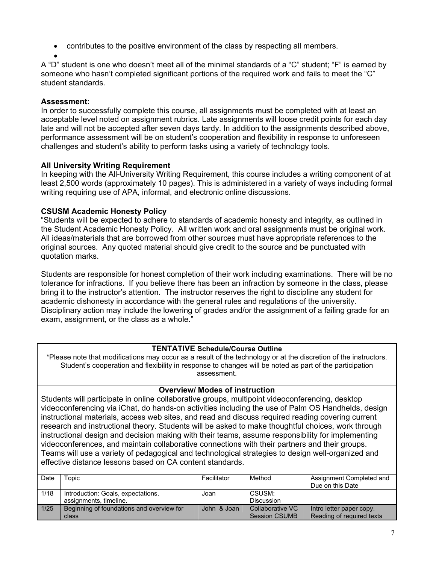- contributes to the positive environment of the class by respecting all members.
- •

A "D" student is one who doesn't meet all of the minimal standards of a "C" student; "F" is earned by someone who hasn't completed significant portions of the required work and fails to meet the "C" student standards.

## **Assessment:**

In order to successfully complete this course, all assignments must be completed with at least an acceptable level noted on assignment rubrics. Late assignments will loose credit points for each day late and will not be accepted after seven days tardy. In addition to the assignments described above, performance assessment will be on student's cooperation and flexibility in response to unforeseen challenges and student's ability to perform tasks using a variety of technology tools.

# **All University Writing Requirement**

In keeping with the All-University Writing Requirement, this course includes a writing component of at least 2,500 words (approximately 10 pages). This is administered in a variety of ways including formal writing requiring use of APA, informal, and electronic online discussions.

# **CSUSM Academic Honesty Policy**

"Students will be expected to adhere to standards of academic honesty and integrity, as outlined in the Student Academic Honesty Policy. All written work and oral assignments must be original work. All ideas/materials that are borrowed from other sources must have appropriate references to the original sources. Any quoted material should give credit to the source and be punctuated with quotation marks.

Students are responsible for honest completion of their work including examinations. There will be no tolerance for infractions. If you believe there has been an infraction by someone in the class, please bring it to the instructor's attention. The instructor reserves the right to discipline any student for academic dishonesty in accordance with the general rules and regulations of the university. Disciplinary action may include the lowering of grades and/or the assignment of a failing grade for an exam, assignment, or the class as a whole."

## **TENTATIVE Schedule/Course Outline**

\*Please note that modifications may occur as a result of the technology or at the discretion of the instructors. Student's cooperation and flexibility in response to changes will be noted as part of the participation assessment.

# **Overview/ Modes of instruction**

Students will participate in online collaborative groups, multipoint videoconferencing, desktop videoconferencing via iChat, do hands-on activities including the use of Palm OS Handhelds, design instructional materials, access web sites, and read and discuss required reading covering current research and instructional theory. Students will be asked to make thoughtful choices, work through instructional design and decision making with their teams, assume responsibility for implementing videoconferences, and maintain collaborative connections with their partners and their groups. Teams will use a variety of pedagogical and technological strategies to design well-organized and effective distance lessons based on CA content standards.

| Date   | Горіс                                     | Facilitator | Method            | Assignment Completed and<br>Due on this Date |
|--------|-------------------------------------------|-------------|-------------------|----------------------------------------------|
| 1/18   | Introduction: Goals, expectations,        | Joan        | CSUSM:            |                                              |
|        | assignments, timeline.                    |             | <b>Discussion</b> |                                              |
| $1/25$ | Beginning of foundations and overview for | John & Joan | Collaborative VC  | Intro letter paper copy.                     |
|        | class                                     |             | Session CSUMB     | Reading of required texts                    |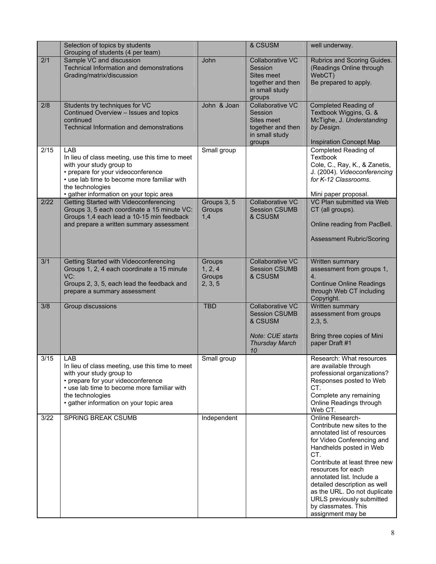|      | Selection of topics by students<br>Grouping of students (4 per team)                                                                                                                                                                   |                                        | & CSUSM                                                                                                       | well underway.                                                                                                                                                                                                                                                                                                                                                              |
|------|----------------------------------------------------------------------------------------------------------------------------------------------------------------------------------------------------------------------------------------|----------------------------------------|---------------------------------------------------------------------------------------------------------------|-----------------------------------------------------------------------------------------------------------------------------------------------------------------------------------------------------------------------------------------------------------------------------------------------------------------------------------------------------------------------------|
| 2/1  | Sample VC and discussion<br>Technical Information and demonstrations<br>Grading/matrix/discussion                                                                                                                                      | John                                   | Collaborative VC<br>Session<br>Sites meet<br>together and then<br>in small study<br>groups                    | Rubrics and Scoring Guides.<br>(Readings Online through<br>WebCT)<br>Be prepared to apply.                                                                                                                                                                                                                                                                                  |
| 2/8  | Students try techniques for VC<br>Continued Overview - Issues and topics<br>continued<br>Technical Information and demonstrations                                                                                                      | John & Joan                            | <b>Collaborative VC</b><br>Session<br>Sites meet<br>together and then<br>in small study<br>groups             | <b>Completed Reading of</b><br>Textbook Wiggins, G. &<br>McTighe, J. Understanding<br>by Design.<br><b>Inspiration Concept Map</b>                                                                                                                                                                                                                                          |
| 2/15 | LAB<br>In lieu of class meeting, use this time to meet<br>with your study group to<br>• prepare for your videoconference<br>• use lab time to become more familiar with<br>the technologies<br>· gather information on your topic area | Small group                            |                                                                                                               | <b>Completed Reading of</b><br>Textbook<br>Cole, C., Ray, K., & Zanetis,<br>J. (2004). Videoconferencing<br>for K-12 Classrooms.<br>Mini paper proposal.                                                                                                                                                                                                                    |
| 2/22 | Getting Started with Videoconferencing<br>Groups 3, 5 each coordinate a 15 minute VC:<br>Groups 1,4 each lead a 10-15 min feedback<br>and prepare a written summary assessment                                                         | Groups 3, 5<br>Groups<br>1,4           | <b>Collaborative VC</b><br><b>Session CSUMB</b><br>& CSUSM                                                    | VC Plan submitted via Web<br>CT (all groups).<br>Online reading from PacBell.<br><b>Assessment Rubric/Scoring</b>                                                                                                                                                                                                                                                           |
| 3/1  | Getting Started with Videoconferencing<br>Groups 1, 2, 4 each coordinate a 15 minute<br>VC:<br>Groups 2, 3, 5, each lead the feedback and<br>prepare a summary assessment                                                              | Groups<br>1, 2, 4<br>Groups<br>2, 3, 5 | <b>Collaborative VC</b><br><b>Session CSUMB</b><br>& CSUSM                                                    | Written summary<br>assessment from groups 1,<br>4.<br><b>Continue Online Readings</b><br>through Web CT including<br>Copyright.                                                                                                                                                                                                                                             |
| 3/8  | Group discussions                                                                                                                                                                                                                      | <b>TBD</b>                             | Collaborative VC<br><b>Session CSUMB</b><br>& CSUSM<br><b>Note: CUE starts</b><br><b>Thursday March</b><br>10 | Written summary<br>assessment from groups<br>2,3,5.<br>Bring three copies of Mini<br>paper Draft #1                                                                                                                                                                                                                                                                         |
| 3/15 | LAB<br>In lieu of class meeting, use this time to meet<br>with your study group to<br>• prepare for your videoconference<br>• use lab time to become more familiar with<br>the technologies<br>· gather information on your topic area | Small group                            |                                                                                                               | Research: What resources<br>are available through<br>professional organizations?<br>Responses posted to Web<br>CT.<br>Complete any remaining<br>Online Readings through<br>Web CT.                                                                                                                                                                                          |
| 3/22 | SPRING BREAK CSUMB                                                                                                                                                                                                                     | Independent                            |                                                                                                               | Online Research-<br>Contribute new sites to the<br>annotated list of resources<br>for Video Conferencing and<br>Handhelds posted in Web<br>CT.<br>Contribute at least three new<br>resources for each<br>annotated list. Include a<br>detailed description as well<br>as the URL. Do not duplicate<br>URLS previously submitted<br>by classmates. This<br>assignment may be |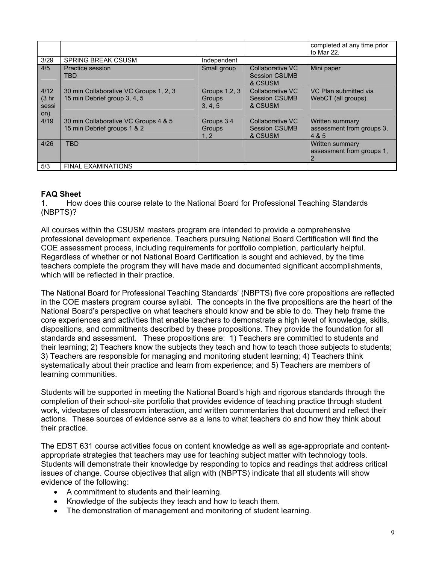|                                     |                                                                        |                                            |                                                     | completed at any time prior<br>to Mar 22.             |
|-------------------------------------|------------------------------------------------------------------------|--------------------------------------------|-----------------------------------------------------|-------------------------------------------------------|
| 3/29                                | <b>SPRING BREAK CSUSM</b>                                              | Independent                                |                                                     |                                                       |
| 4/5                                 | <b>Practice session</b><br>TBD                                         | Small group                                | Collaborative VC<br><b>Session CSUMB</b><br>& CSUSM | Mini paper                                            |
| 4/12<br>(3 <sub>hr</sub> )<br>sessi | 30 min Collaborative VC Groups 1, 2, 3<br>15 min Debrief group 3, 4, 5 | Groups 1, 2, 3<br><b>Groups</b><br>3, 4, 5 | Collaborative VC<br><b>Session CSUMB</b><br>& CSUSM | VC Plan submitted via<br>WebCT (all groups).          |
| on)                                 |                                                                        |                                            |                                                     |                                                       |
| 4/19                                | 30 min Collaborative VC Groups 4 & 5<br>15 min Debrief groups 1 & 2    | Groups 3.4<br>Groups<br>1, 2               | Collaborative VC<br><b>Session CSUMB</b><br>& CSUSM | Written summary<br>assessment from groups 3,<br>4 & 5 |
| 4/26                                | <b>TBD</b>                                                             |                                            |                                                     | Written summary<br>assessment from groups 1.<br>2     |
| 5/3                                 | <b>FINAL EXAMINATIONS</b>                                              |                                            |                                                     |                                                       |

### **FAQ Sheet**

1. How does this course relate to the National Board for Professional Teaching Standards (NBPTS)?

All courses within the CSUSM masters program are intended to provide a comprehensive professional development experience. Teachers pursuing National Board Certification will find the COE assessment process, including requirements for portfolio completion, particularly helpful. Regardless of whether or not National Board Certification is sought and achieved, by the time teachers complete the program they will have made and documented significant accomplishments, which will be reflected in their practice.

The National Board for Professional Teaching Standards' (NBPTS) five core propositions are reflected in the COE masters program course syllabi. The concepts in the five propositions are the heart of the National Board's perspective on what teachers should know and be able to do. They help frame the core experiences and activities that enable teachers to demonstrate a high level of knowledge, skills, dispositions, and commitments described by these propositions. They provide the foundation for all standards and assessment. These propositions are: 1) Teachers are committed to students and their learning; 2) Teachers know the subjects they teach and how to teach those subjects to students; 3) Teachers are responsible for managing and monitoring student learning; 4) Teachers think systematically about their practice and learn from experience; and 5) Teachers are members of learning communities.

Students will be supported in meeting the National Board's high and rigorous standards through the completion of their school-site portfolio that provides evidence of teaching practice through student work, videotapes of classroom interaction, and written commentaries that document and reflect their actions. These sources of evidence serve as a lens to what teachers do and how they think about their practice.

The EDST 631 course activities focus on content knowledge as well as age-appropriate and contentappropriate strategies that teachers may use for teaching subject matter with technology tools. Students will demonstrate their knowledge by responding to topics and readings that address critical issues of change. Course objectives that align with (NBPTS) indicate that all students will show evidence of the following:

- A commitment to students and their learning.
- Knowledge of the subjects they teach and how to teach them.
- The demonstration of management and monitoring of student learning.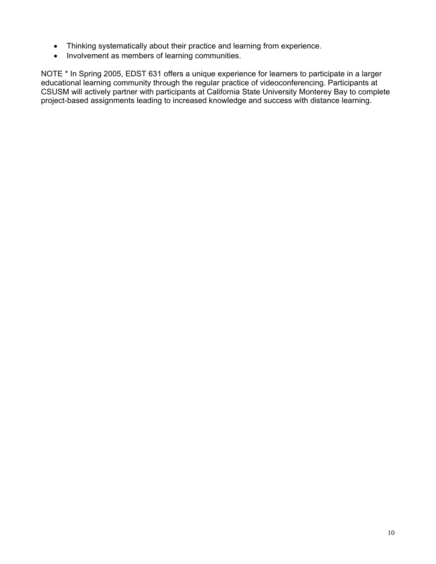- Thinking systematically about their practice and learning from experience.
- Involvement as members of learning communities.

NOTE \* In Spring 2005, EDST 631 offers a unique experience for learners to participate in a larger educational learning community through the regular practice of videoconferencing. Participants at CSUSM will actively partner with participants at California State University Monterey Bay to complete project-based assignments leading to increased knowledge and success with distance learning.